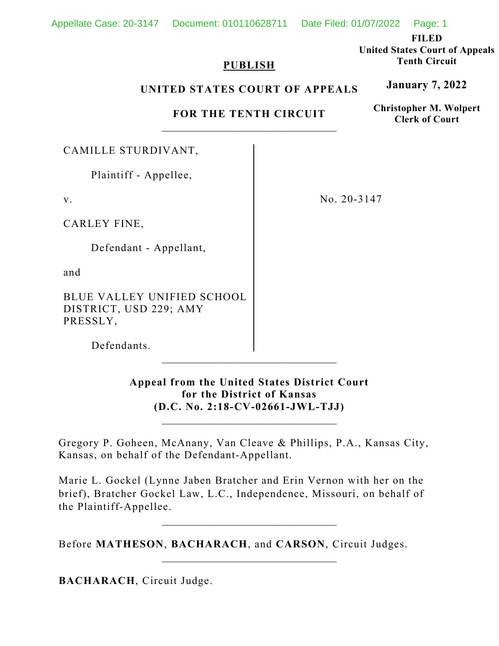**FILED** 

**United States Court of Appeals Tenth Circuit** 

**January 7, 2022**

**Christopher M. Wolpert Clerk of Court**

# **PUBLISH**

### **UNITED STATES COURT OF APPEALS**

**FOR THE TENTH CIRCUIT** 

CAMILLE STURDIVANT,

v.

CARLEY FINE,

and

BLUE VALLEY UNIFIED SCHOOL DISTRICT, USD 229; AMY PRESSLY,

No. 20-3147

Defendants.

**Appeal from the United States District Court for the District of Kansas (D.C. No. 2:18-CV-02661-JWL-TJJ)**

\_\_\_\_\_\_\_\_\_\_\_\_\_\_\_\_\_\_\_\_\_\_\_\_\_\_\_\_\_\_\_\_\_

 $\mathcal{L}_\text{max}$ 

Gregory P. Goheen, McAnany, Van Cleave & Phillips, P.A., Kansas City, Kansas, on behalf of the Defendant-Appellant.

Marie L. Gockel (Lynne Jaben Bratcher and Erin Vernon with her on the brief), Bratcher Gockel Law, L.C., Independence, Missouri, on behalf of the Plaintiff-Appellee.

Before **MATHESON**, **BACHARACH**, and **CARSON**, Circuit Judges.

 $\mathcal{L}_\text{max}$ 

**BACHARACH**, Circuit Judge.

 Plaintiff - Appellee, Defendant - Appellant,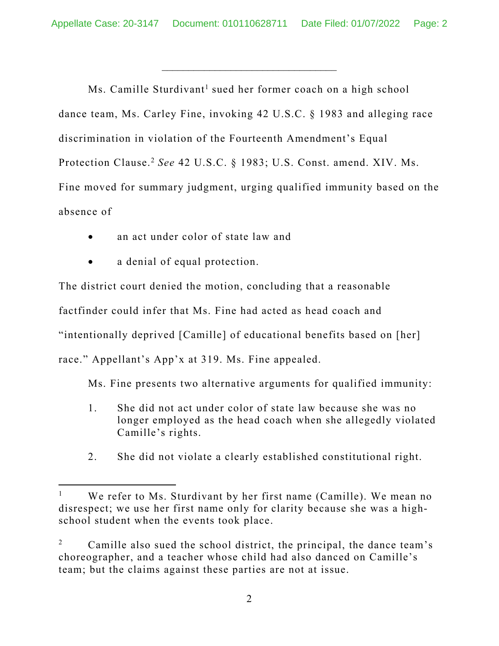\_\_\_\_\_\_\_\_\_\_\_\_\_\_\_\_\_\_\_\_\_\_\_\_\_\_\_\_\_\_\_\_\_

Ms. Camille Sturdivant<sup>1</sup> sued her former coach on a high school dance team, Ms. Carley Fine, invoking 42 U.S.C. § 1983 and alleging race discrimination in violation of the Fourteenth Amendment's Equal Protection Clause.2 *See* 42 U.S.C. § 1983; U.S. Const. amend. XIV. Ms. Fine moved for summary judgment, urging qualified immunity based on the absence of

- an act under color of state law and
- a denial of equal protection.

The district court denied the motion, concluding that a reasonable factfinder could infer that Ms. Fine had acted as head coach and "intentionally deprived [Camille] of educational benefits based on [her] race." Appellant's App'x at 319. Ms. Fine appealed.

Ms. Fine presents two alternative arguments for qualified immunity:

- 1. She did not act under color of state law because she was no longer employed as the head coach when she allegedly violated Camille's rights.
- 2. She did not violate a clearly established constitutional right.

<sup>1</sup> We refer to Ms. Sturdivant by her first name (Camille). We mean no disrespect; we use her first name only for clarity because she was a highschool student when the events took place.

<sup>2</sup> Camille also sued the school district, the principal, the dance team's choreographer, and a teacher whose child had also danced on Camille's team; but the claims against these parties are not at issue.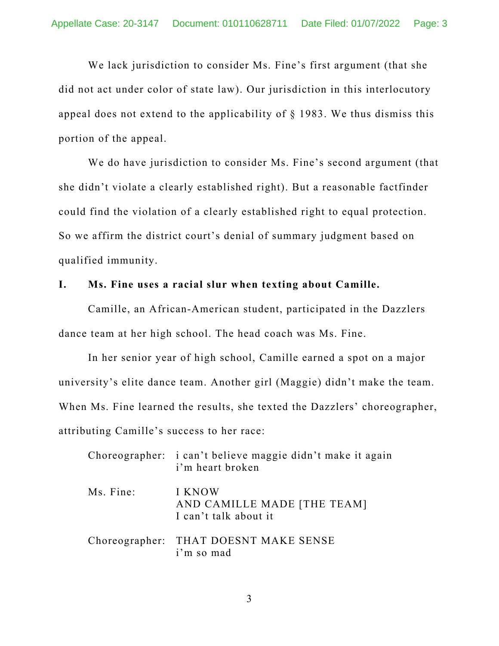We lack jurisdiction to consider Ms. Fine's first argument (that she did not act under color of state law). Our jurisdiction in this interlocutory appeal does not extend to the applicability of  $\S$  1983. We thus dismiss this portion of the appeal.

We do have jurisdiction to consider Ms. Fine's second argument (that she didn't violate a clearly established right). But a reasonable factfinder could find the violation of a clearly established right to equal protection. So we affirm the district court's denial of summary judgment based on qualified immunity.

#### **I. Ms. Fine uses a racial slur when texting about Camille.**

Camille, an African-American student, participated in the Dazzlers dance team at her high school. The head coach was Ms. Fine.

In her senior year of high school, Camille earned a spot on a major university's elite dance team. Another girl (Maggie) didn't make the team. When Ms. Fine learned the results, she texted the Dazzlers' choreographer, attributing Camille's success to her race:

|           | Choreographer: i can't believe maggie didn't make it again<br>i'm heart broken |
|-----------|--------------------------------------------------------------------------------|
| Ms. Fine: | I KNOW<br>AND CAMILLE MADE [THE TEAM]<br>I can't talk about it                 |
|           | Choreographer: THAT DOESNT MAKE SENSE<br>i'm so mad                            |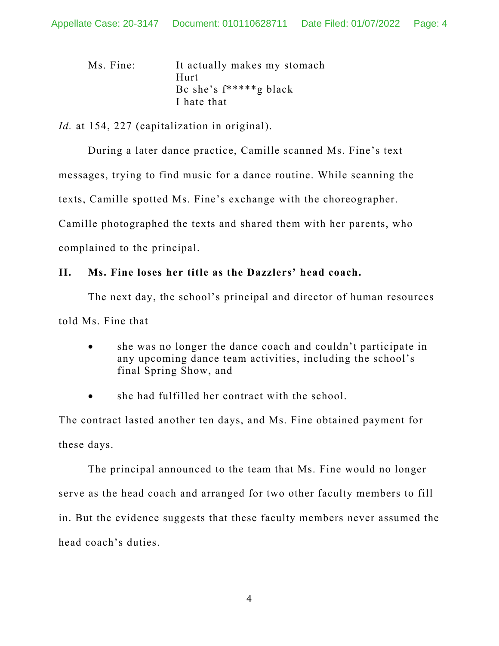| Ms. Fine: | It actually makes my stomach |
|-----------|------------------------------|
|           | $H$ urt                      |
|           | Be she's $f^{****}g$ black   |
|           | I hate that                  |

*Id.* at 154, 227 (capitalization in original).

 During a later dance practice, Camille scanned Ms. Fine's text messages, trying to find music for a dance routine. While scanning the texts, Camille spotted Ms. Fine's exchange with the choreographer. Camille photographed the texts and shared them with her parents, who complained to the principal.

# **II. Ms. Fine loses her title as the Dazzlers' head coach.**

The next day, the school's principal and director of human resources told Ms. Fine that

- she was no longer the dance coach and couldn't participate in any upcoming dance team activities, including the school's final Spring Show, and
- she had fulfilled her contract with the school.

The contract lasted another ten days, and Ms. Fine obtained payment for these days.

The principal announced to the team that Ms. Fine would no longer serve as the head coach and arranged for two other faculty members to fill in. But the evidence suggests that these faculty members never assumed the head coach's duties.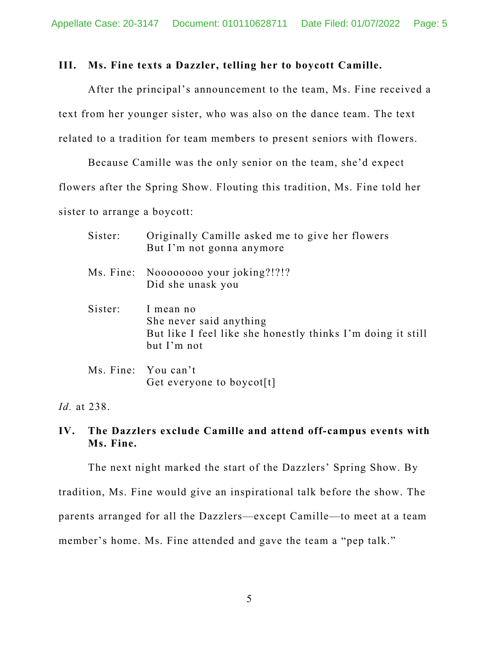#### **III. Ms. Fine texts a Dazzler, telling her to boycott Camille.**

After the principal's announcement to the team, Ms. Fine received a text from her younger sister, who was also on the dance team. The text related to a tradition for team members to present seniors with flowers.

Because Camille was the only senior on the team, she'd expect flowers after the Spring Show. Flouting this tradition, Ms. Fine told her sister to arrange a boycott:

| Sister: | Originally Camille asked me to give her flowers<br>But I'm not gonna anymore                                       |
|---------|--------------------------------------------------------------------------------------------------------------------|
|         | Ms. Fine: Noooooooo your joking?!?!?<br>Did she unask you                                                          |
| Sister: | I mean no<br>She never said anything<br>But like I feel like she honestly thinks I'm doing it still<br>but I'm not |
|         | Ms. Fine: You can't<br>Get everyone to boycot[t]                                                                   |

*Id.* at 238.

**IV. The Dazzlers exclude Camille and attend off-campus events with Ms. Fine.**

The next night marked the start of the Dazzlers' Spring Show. By tradition, Ms. Fine would give an inspirational talk before the show. The parents arranged for all the Dazzlers—except Camille—to meet at a team member's home. Ms. Fine attended and gave the team a "pep talk."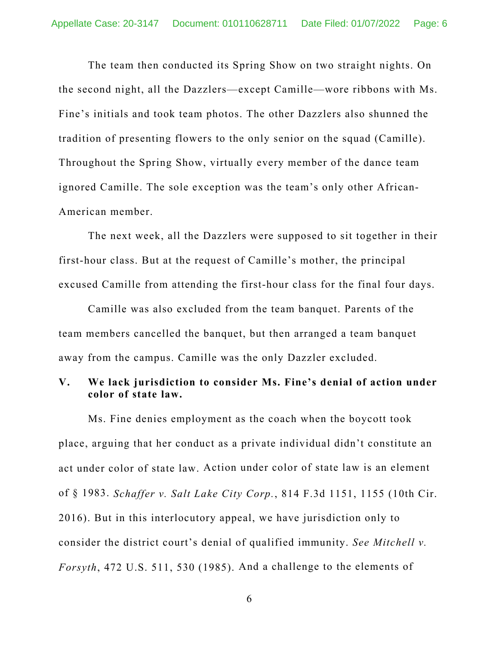The team then conducted its Spring Show on two straight nights. On the second night, all the Dazzlers—except Camille—wore ribbons with Ms. Fine's initials and took team photos. The other Dazzlers also shunned the tradition of presenting flowers to the only senior on the squad (Camille). Throughout the Spring Show, virtually every member of the dance team ignored Camille. The sole exception was the team's only other African-American member.

The next week, all the Dazzlers were supposed to sit together in their first-hour class. But at the request of Camille's mother, the principal excused Camille from attending the first-hour class for the final four days.

Camille was also excluded from the team banquet. Parents of the team members cancelled the banquet, but then arranged a team banquet away from the campus. Camille was the only Dazzler excluded.

### **V. We lack jurisdiction to consider Ms. Fine's denial of action under color of state law.**

Ms. Fine denies employment as the coach when the boycott took place, arguing that her conduct as a private individual didn't constitute an act under color of state law. Action under color of state law is an element of § 1983. *Schaffer v. Salt Lake City Corp.*, 814 F.3d 1151, 1155 (10th Cir. 2016). But in this interlocutory appeal, we have jurisdiction only to consider the district court's denial of qualified immunity. *See Mitchell v. Forsyth*, 472 U.S. 511, 530 (1985). And a challenge to the elements of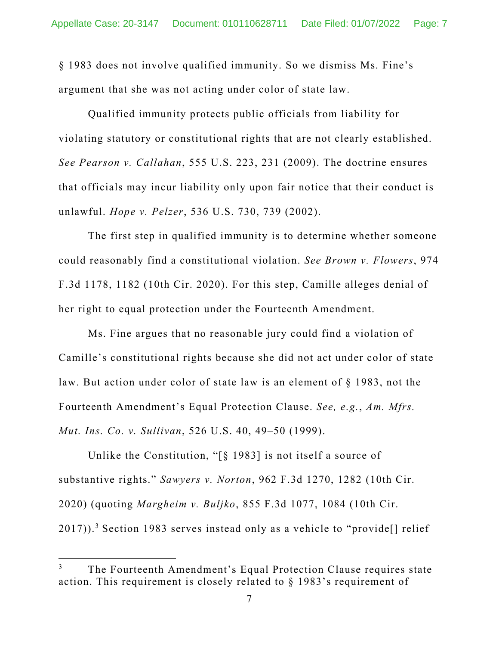§ 1983 does not involve qualified immunity. So we dismiss Ms. Fine's argument that she was not acting under color of state law.

Qualified immunity protects public officials from liability for violating statutory or constitutional rights that are not clearly established. *See Pearson v. Callahan*, 555 U.S. 223, 231 (2009). The doctrine ensures that officials may incur liability only upon fair notice that their conduct is unlawful. *Hope v. Pelzer*, 536 U.S. 730, 739 (2002).

The first step in qualified immunity is to determine whether someone could reasonably find a constitutional violation. *See Brown v. Flowers*, 974 F.3d 1178, 1182 (10th Cir. 2020). For this step, Camille alleges denial of her right to equal protection under the Fourteenth Amendment.

Ms. Fine argues that no reasonable jury could find a violation of Camille's constitutional rights because she did not act under color of state law. But action under color of state law is an element of § 1983, not the Fourteenth Amendment's Equal Protection Clause. *See, e.g.*, *Am. Mfrs. Mut. Ins. Co. v. Sullivan*, 526 U.S. 40, 49–50 (1999).

Unlike the Constitution, "[§ 1983] is not itself a source of substantive rights." *Sawyers v. Norton*, 962 F.3d 1270, 1282 (10th Cir. 2020) (quoting *Margheim v. Buljko*, 855 F.3d 1077, 1084 (10th Cir.  $2017$ )).<sup>3</sup> Section 1983 serves instead only as a vehicle to "provide[] relief

<sup>3</sup> The Fourteenth Amendment's Equal Protection Clause requires state action. This requirement is closely related to § 1983's requirement of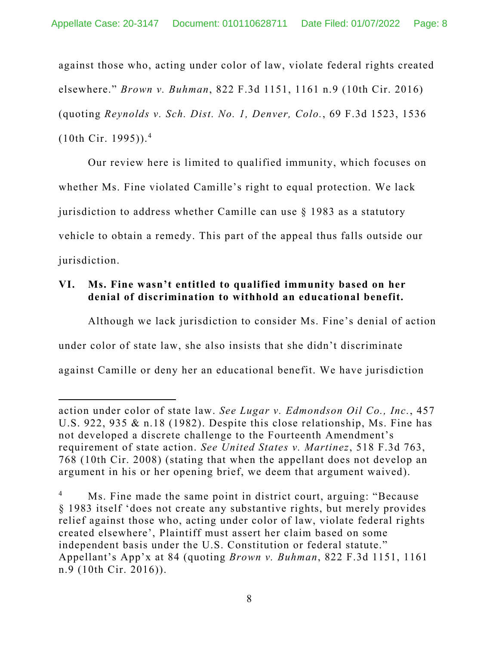against those who, acting under color of law, violate federal rights created elsewhere." *Brown v. Buhman*, 822 F.3d 1151, 1161 n.9 (10th Cir. 2016) (quoting *Reynolds v. Sch. Dist. No. 1, Denver, Colo.*, 69 F.3d 1523, 1536  $(10th$  Cir. 1995)).<sup>4</sup>

Our review here is limited to qualified immunity, which focuses on whether Ms. Fine violated Camille's right to equal protection. We lack jurisdiction to address whether Camille can use § 1983 as a statutory vehicle to obtain a remedy. This part of the appeal thus falls outside our jurisdiction.

# **VI. Ms. Fine wasn't entitled to qualified immunity based on her denial of discrimination to withhold an educational benefit.**

Although we lack jurisdiction to consider Ms. Fine's denial of action under color of state law, she also insists that she didn't discriminate against Camille or deny her an educational benefit. We have jurisdiction

action under color of state law. *See Lugar v. Edmondson Oil Co., Inc.*, 457 U.S. 922, 935 & n.18 (1982). Despite this close relationship, Ms. Fine has not developed a discrete challenge to the Fourteenth Amendment's requirement of state action. *See United States v. Martinez*, 518 F.3d 763, 768 (10th Cir. 2008) (stating that when the appellant does not develop an argument in his or her opening brief, we deem that argument waived).

<sup>4</sup> Ms. Fine made the same point in district court, arguing: "Because § 1983 itself 'does not create any substantive rights, but merely provides relief against those who, acting under color of law, violate federal rights created elsewhere', Plaintiff must assert her claim based on some independent basis under the U.S. Constitution or federal statute." Appellant's App'x at 84 (quoting *Brown v. Buhman*, 822 F.3d 1151, 1161 n.9 (10th Cir. 2016)).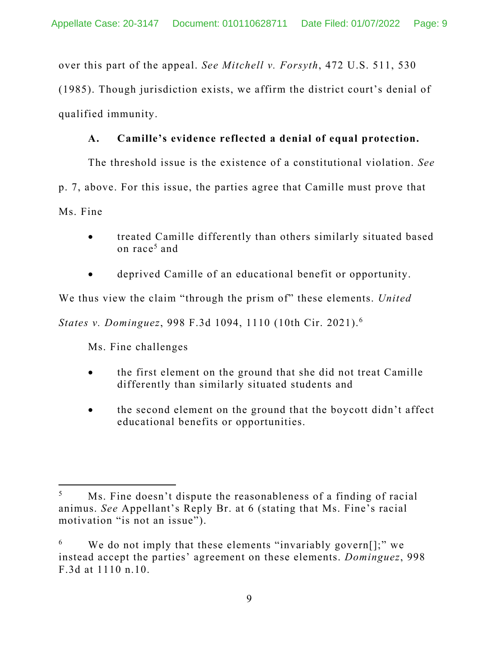over this part of the appeal. *See Mitchell v. Forsyth*, 472 U.S. 511, 530 (1985). Though jurisdiction exists, we affirm the district court's denial of qualified immunity.

# **A. Camille's evidence reflected a denial of equal protection.**

The threshold issue is the existence of a constitutional violation. *See*  p. 7, above. For this issue, the parties agree that Camille must prove that Ms. Fine

- treated Camille differently than others similarly situated based on race<sup>5</sup> and
- deprived Camille of an educational benefit or opportunity.

We thus view the claim "through the prism of" these elements. *United* 

*States v. Dominguez*, 998 F.3d 1094, 1110 (10th Cir. 2021).6

Ms. Fine challenges

- the first element on the ground that she did not treat Camille differently than similarly situated students and
- the second element on the ground that the boycott didn't affect educational benefits or opportunities.

<sup>5</sup> Ms. Fine doesn't dispute the reasonableness of a finding of racial animus. *See* Appellant's Reply Br. at 6 (stating that Ms. Fine's racial motivation "is not an issue").

<sup>6</sup> We do not imply that these elements "invariably govern[];" we instead accept the parties' agreement on these elements. *Dominguez*, 998 F.3d at 1110 n.10.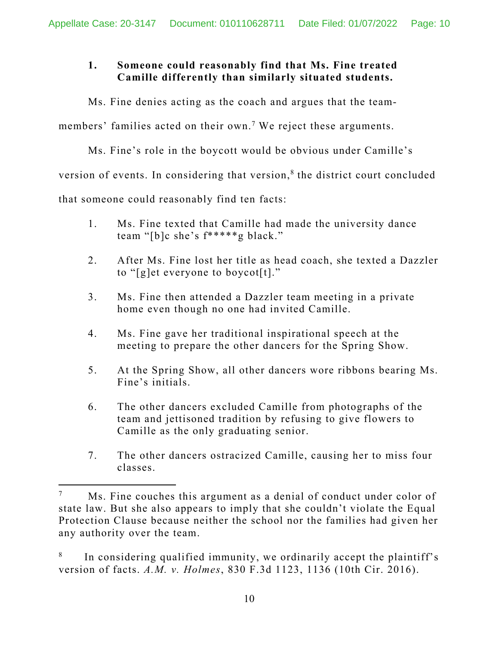## **1. Someone could reasonably find that Ms. Fine treated Camille differently than similarly situated students.**

Ms. Fine denies acting as the coach and argues that the team-

members' families acted on their own.<sup>7</sup> We reject these arguments.

Ms. Fine's role in the boycott would be obvious under Camille's

version of events. In considering that version,<sup>8</sup> the district court concluded

that someone could reasonably find ten facts:

- 1. Ms. Fine texted that Camille had made the university dance team "[b]c she's f\*\*\*\*\*g black."
- 2. After Ms. Fine lost her title as head coach, she texted a Dazzler to " $[g]$ et everyone to boycot $[t]$ ."
- 3. Ms. Fine then attended a Dazzler team meeting in a private home even though no one had invited Camille.
- 4. Ms. Fine gave her traditional inspirational speech at the meeting to prepare the other dancers for the Spring Show.
- 5. At the Spring Show, all other dancers wore ribbons bearing Ms. Fine's initials.
- 6. The other dancers excluded Camille from photographs of the team and jettisoned tradition by refusing to give flowers to Camille as the only graduating senior.
- 7. The other dancers ostracized Camille, causing her to miss four classes.

<sup>7</sup> Ms. Fine couches this argument as a denial of conduct under color of state law. But she also appears to imply that she couldn't violate the Equal Protection Clause because neither the school nor the families had given her any authority over the team.

<sup>8</sup> In considering qualified immunity, we ordinarily accept the plaintiff's version of facts. *A.M. v. Holmes*, 830 F.3d 1123, 1136 (10th Cir. 2016).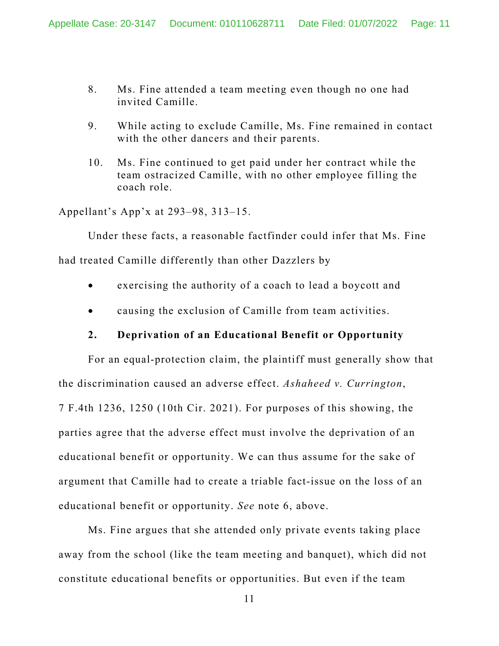- 8. Ms. Fine attended a team meeting even though no one had invited Camille.
- 9. While acting to exclude Camille, Ms. Fine remained in contact with the other dancers and their parents.
- 10. Ms. Fine continued to get paid under her contract while the team ostracized Camille, with no other employee filling the coach role.

Appellant's App'x at 293–98, 313–15.

Under these facts, a reasonable factfinder could infer that Ms. Fine

had treated Camille differently than other Dazzlers by

- exercising the authority of a coach to lead a boycott and
- causing the exclusion of Camille from team activities.

### **2. Deprivation of an Educational Benefit or Opportunity**

For an equal-protection claim, the plaintiff must generally show that the discrimination caused an adverse effect. *Ashaheed v. Currington*, 7 F.4th 1236, 1250 (10th Cir. 2021). For purposes of this showing, the parties agree that the adverse effect must involve the deprivation of an educational benefit or opportunity. We can thus assume for the sake of argument that Camille had to create a triable fact-issue on the loss of an educational benefit or opportunity. *See* note 6, above.

 Ms. Fine argues that she attended only private events taking place away from the school (like the team meeting and banquet), which did not constitute educational benefits or opportunities. But even if the team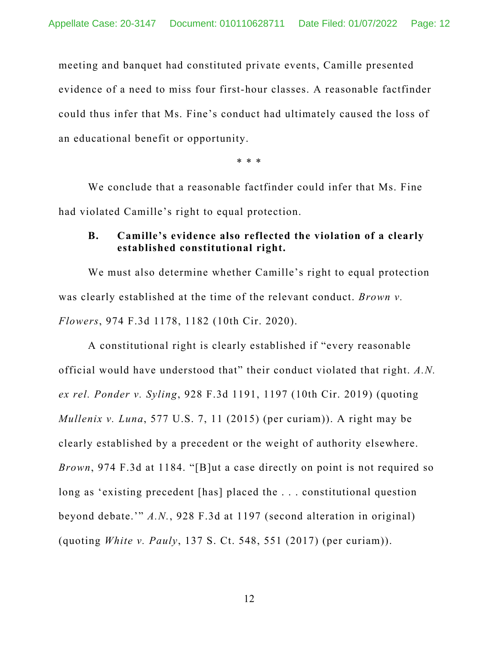meeting and banquet had constituted private events, Camille presented evidence of a need to miss four first-hour classes. A reasonable factfinder could thus infer that Ms. Fine's conduct had ultimately caused the loss of an educational benefit or opportunity.

\* \* \*

 We conclude that a reasonable factfinder could infer that Ms. Fine had violated Camille's right to equal protection.

#### **B. Camille's evidence also reflected the violation of a clearly established constitutional right.**

We must also determine whether Camille's right to equal protection was clearly established at the time of the relevant conduct. *Brown v. Flowers*, 974 F.3d 1178, 1182 (10th Cir. 2020).

A constitutional right is clearly established if "every reasonable official would have understood that" their conduct violated that right. *A.N. ex rel. Ponder v. Syling*, 928 F.3d 1191, 1197 (10th Cir. 2019) (quoting *Mullenix v. Luna*, 577 U.S. 7, 11 (2015) (per curiam)). A right may be clearly established by a precedent or the weight of authority elsewhere. *Brown*, 974 F.3d at 1184. "[B]ut a case directly on point is not required so long as 'existing precedent [has] placed the . . . constitutional question beyond debate.'" *A.N.*, 928 F.3d at 1197 (second alteration in original) (quoting *White v. Pauly*, 137 S. Ct. 548, 551 (2017) (per curiam)).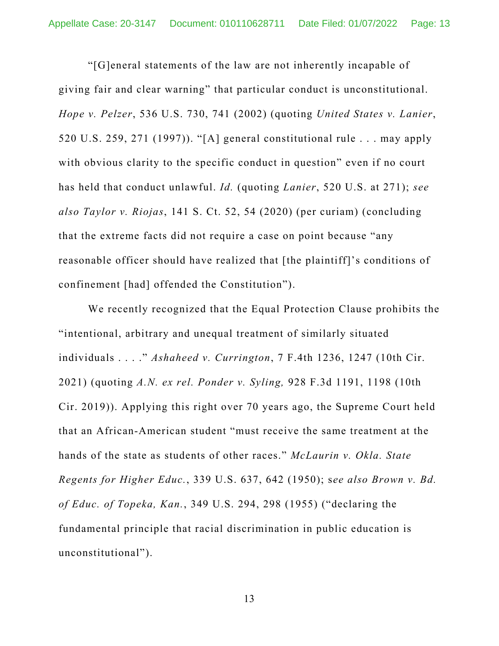"[G]eneral statements of the law are not inherently incapable of giving fair and clear warning" that particular conduct is unconstitutional. *Hope v. Pelzer*, 536 U.S. 730, 741 (2002) (quoting *United States v. Lanier*, 520 U.S. 259, 271 (1997)). "[A] general constitutional rule . . . may apply with obvious clarity to the specific conduct in question" even if no court has held that conduct unlawful. *Id.* (quoting *Lanier*, 520 U.S. at 271); *see also Taylor v. Riojas*, 141 S. Ct. 52, 54 (2020) (per curiam) (concluding that the extreme facts did not require a case on point because "any reasonable officer should have realized that [the plaintiff]'s conditions of confinement [had] offended the Constitution").

We recently recognized that the Equal Protection Clause prohibits the "intentional, arbitrary and unequal treatment of similarly situated individuals . . . ." *Ashaheed v. Currington*, 7 F.4th 1236, 1247 (10th Cir. 2021) (quoting *A.N. ex rel. Ponder v. Syling,* 928 F.3d 1191, 1198 (10th Cir. 2019)). Applying this right over 70 years ago, the Supreme Court held that an African-American student "must receive the same treatment at the hands of the state as students of other races." *McLaurin v. Okla. State Regents for Higher Educ.*, 339 U.S. 637, 642 (1950); s*ee also Brown v. Bd. of Educ. of Topeka, Kan.*, 349 U.S. 294, 298 (1955) ("declaring the fundamental principle that racial discrimination in public education is unconstitutional").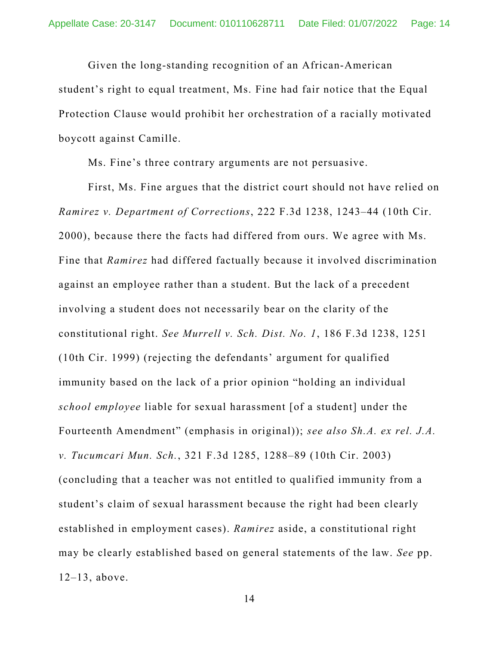Given the long-standing recognition of an African-American student's right to equal treatment, Ms. Fine had fair notice that the Equal Protection Clause would prohibit her orchestration of a racially motivated boycott against Camille.

Ms. Fine's three contrary arguments are not persuasive.

First, Ms. Fine argues that the district court should not have relied on *Ramirez v. Department of Corrections*, 222 F.3d 1238, 1243–44 (10th Cir. 2000), because there the facts had differed from ours. We agree with Ms. Fine that *Ramirez* had differed factually because it involved discrimination against an employee rather than a student. But the lack of a precedent involving a student does not necessarily bear on the clarity of the constitutional right. *See Murrell v. Sch. Dist. No. 1*, 186 F.3d 1238, 1251 (10th Cir. 1999) (rejecting the defendants' argument for qualified immunity based on the lack of a prior opinion "holding an individual *school employee* liable for sexual harassment [of a student] under the Fourteenth Amendment" (emphasis in original)); *see also Sh.A. ex rel. J.A. v. Tucumcari Mun. Sch.*, 321 F.3d 1285, 1288–89 (10th Cir. 2003) (concluding that a teacher was not entitled to qualified immunity from a student's claim of sexual harassment because the right had been clearly established in employment cases). *Ramirez* aside, a constitutional right may be clearly established based on general statements of the law. *See* pp. 12–13, above.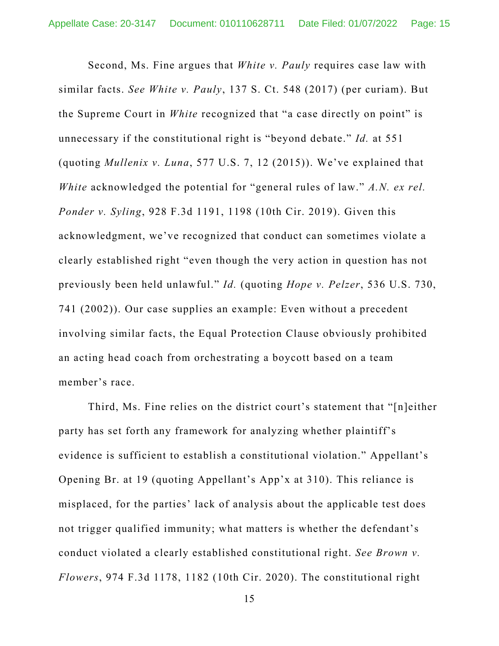Second, Ms. Fine argues that *White v. Pauly* requires case law with similar facts. *See White v. Pauly*, 137 S. Ct. 548 (2017) (per curiam). But the Supreme Court in *White* recognized that "a case directly on point" is unnecessary if the constitutional right is "beyond debate." *Id.* at 551 (quoting *Mullenix v. Luna*, 577 U.S. 7, 12 (2015)). We've explained that *White* acknowledged the potential for "general rules of law." *A.N. ex rel. Ponder v. Syling*, 928 F.3d 1191, 1198 (10th Cir. 2019). Given this acknowledgment, we've recognized that conduct can sometimes violate a clearly established right "even though the very action in question has not previously been held unlawful." *Id.* (quoting *Hope v. Pelzer*, 536 U.S. 730, 741 (2002)). Our case supplies an example: Even without a precedent involving similar facts, the Equal Protection Clause obviously prohibited an acting head coach from orchestrating a boycott based on a team member's race.

 Third, Ms. Fine relies on the district court's statement that "[n]either party has set forth any framework for analyzing whether plaintiff's evidence is sufficient to establish a constitutional violation." Appellant's Opening Br. at 19 (quoting Appellant's App'x at 310). This reliance is misplaced, for the parties' lack of analysis about the applicable test does not trigger qualified immunity; what matters is whether the defendant's conduct violated a clearly established constitutional right. *See Brown v. Flowers*, 974 F.3d 1178, 1182 (10th Cir. 2020). The constitutional right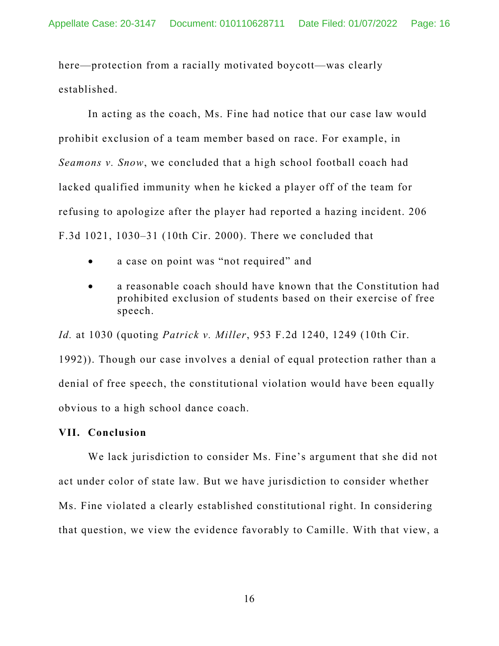here—protection from a racially motivated boycott—was clearly established.

 In acting as the coach, Ms. Fine had notice that our case law would prohibit exclusion of a team member based on race. For example, in *Seamons v. Snow*, we concluded that a high school football coach had lacked qualified immunity when he kicked a player off of the team for refusing to apologize after the player had reported a hazing incident. 206 F.3d 1021, 1030–31 (10th Cir. 2000). There we concluded that

- a case on point was "not required" and
- a reasonable coach should have known that the Constitution had prohibited exclusion of students based on their exercise of free speech.

*Id.* at 1030 (quoting *Patrick v. Miller*, 953 F.2d 1240, 1249 (10th Cir. 1992)). Though our case involves a denial of equal protection rather than a denial of free speech, the constitutional violation would have been equally obvious to a high school dance coach.

#### **VII. Conclusion**

We lack jurisdiction to consider Ms. Fine's argument that she did not act under color of state law. But we have jurisdiction to consider whether Ms. Fine violated a clearly established constitutional right. In considering that question, we view the evidence favorably to Camille. With that view, a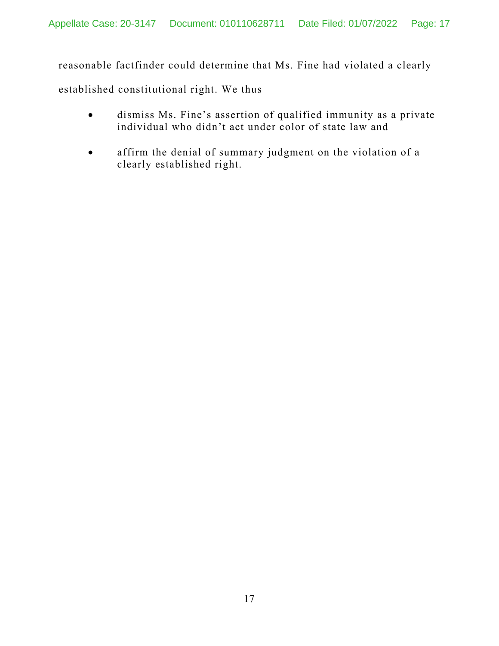reasonable factfinder could determine that Ms. Fine had violated a clearly

established constitutional right. We thus

- dismiss Ms. Fine's assertion of qualified immunity as a private individual who didn't act under color of state law and
- affirm the denial of summary judgment on the violation of a clearly established right.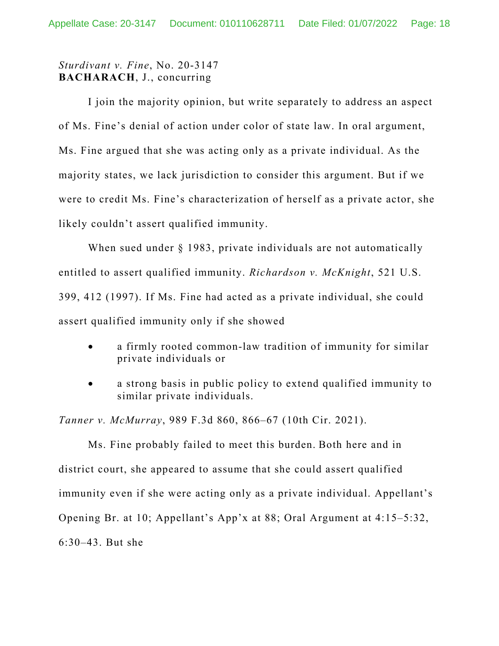# *Sturdivant v. Fine*, No. 20-3147 **BACHARACH**, J., concurring

 I join the majority opinion, but write separately to address an aspect of Ms. Fine's denial of action under color of state law. In oral argument, Ms. Fine argued that she was acting only as a private individual. As the majority states, we lack jurisdiction to consider this argument. But if we were to credit Ms. Fine's characterization of herself as a private actor, she likely couldn't assert qualified immunity.

When sued under § 1983, private individuals are not automatically entitled to assert qualified immunity. *Richardson v. McKnight*, 521 U.S. 399, 412 (1997). If Ms. Fine had acted as a private individual, she could assert qualified immunity only if she showed

- a firmly rooted common-law tradition of immunity for similar private individuals or
- a strong basis in public policy to extend qualified immunity to similar private individuals.

*Tanner v. McMurray*, 989 F.3d 860, 866–67 (10th Cir. 2021).

Ms. Fine probably failed to meet this burden. Both here and in district court, she appeared to assume that she could assert qualified immunity even if she were acting only as a private individual. Appellant's Opening Br. at 10; Appellant's App'x at 88; Oral Argument at 4:15–5:32, 6:30–43. But she